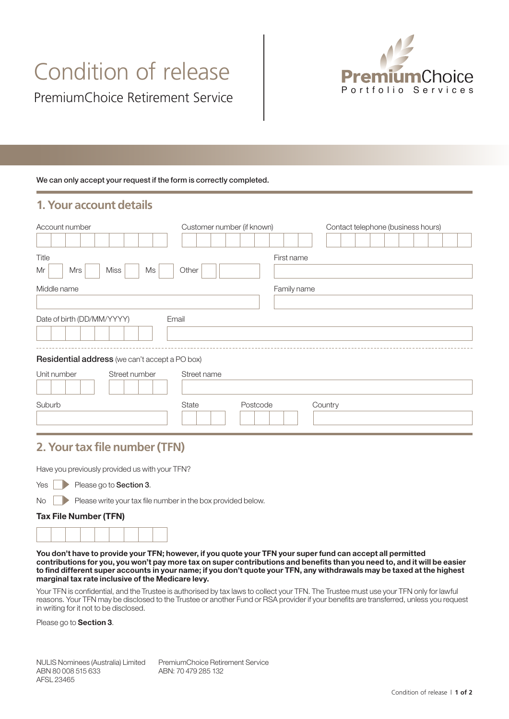# Condition of release



#### We can only accept your request if the form is correctly completed.

### **1. Your account details**

| Account number                                 | Customer number (if known) |             | Contact telephone (business hours) |
|------------------------------------------------|----------------------------|-------------|------------------------------------|
| Title<br>Mrs<br>Miss<br>Ms<br>Mr               | Other                      | First name  |                                    |
| Middle name                                    |                            | Family name |                                    |
| Date of birth (DD/MM/YYYY)                     | Email                      |             |                                    |
| Residential address (we can't accept a PO box) |                            |             |                                    |
| Unit number<br>Street number                   | Street name                |             |                                    |
| Suburb                                         | State<br>Postcode          |             | Country                            |

## **2. Your tax file number (TFN)**

Have you previously provided us with your TFN?

| Yes |  |  | Please go to <b>Section 3</b> . |  |
|-----|--|--|---------------------------------|--|
|-----|--|--|---------------------------------|--|

No Please write your tax file number in the box provided below.

#### Tax File Number (TFN)



You don't have to provide your TFN; however, if you quote your TFN your super fund can accept all permitted contributions for you, you won't pay more tax on super contributions and benefits than you need to, and it will be easier to find different super accounts in your name; if you don't quote your TFN, any withdrawals may be taxed at the highest marginal tax rate inclusive of the Medicare levy.

Your TFN is confidential, and the Trustee is authorised by tax laws to collect your TFN. The Trustee must use your TFN only for lawful reasons. Your TFN may be disclosed to the Trustee or another Fund or RSA provider if your benefits are transferred, unless you request in writing for it not to be disclosed.

Please go to **Section 3**.

PremiumChoice Retirement Service ABN: 70 479 285 132